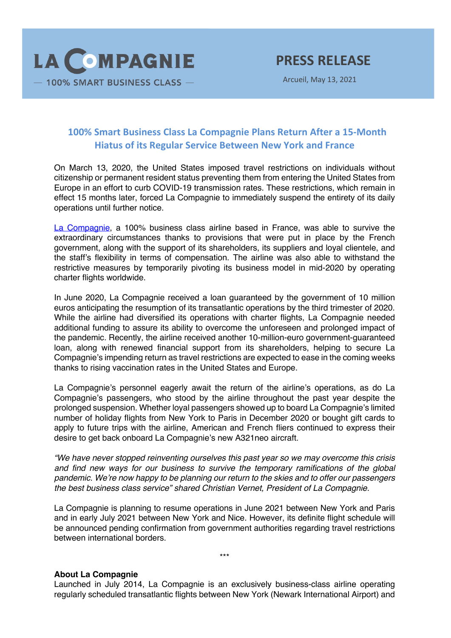

Arcueil, May 13, 2021

## **100% Smart Business Class La Compagnie Plans Return After a 15-Month Hiatus of its Regular Service Between New York and France**

On March 13, 2020, the United States imposed travel restrictions on individuals without citizenship or permanent resident status preventing them from entering the United States from Europe in an effort to curb COVID-19 transmission rates. These restrictions, which remain in effect 15 months later, forced La Compagnie to immediately suspend the entirety of its daily operations until further notice.

La Compagnie, a 100% business class airline based in France, was able to survive the extraordinary circumstances thanks to provisions that were put in place by the French government, along with the support of its shareholders, its suppliers and loyal clientele, and the staff's flexibility in terms of compensation. The airline was also able to withstand the restrictive measures by temporarily pivoting its business model in mid-2020 by operating charter flights worldwide.

In June 2020, La Compagnie received a loan guaranteed by the government of 10 million euros anticipating the resumption of its transatlantic operations by the third trimester of 2020. While the airline had diversified its operations with charter flights, La Compagnie needed additional funding to assure its ability to overcome the unforeseen and prolonged impact of the pandemic. Recently, the airline received another 10-million-euro government-guaranteed loan, along with renewed financial support from its shareholders, helping to secure La Compagnie's impending return as travel restrictions are expected to ease in the coming weeks thanks to rising vaccination rates in the United States and Europe.

La Compagnie's personnel eagerly await the return of the airline's operations, as do La Compagnie's passengers, who stood by the airline throughout the past year despite the prolonged suspension. Whether loyal passengers showed up to board La Compagnie's limited number of holiday flights from New York to Paris in December 2020 or bought gift cards to apply to future trips with the airline, American and French fliers continued to express their desire to get back onboard La Compagnie's new A321neo aircraft.

*"We have never stopped reinventing ourselves this past year so we may overcome this crisis and find new ways for our business to survive the temporary ramifications of the global pandemic. We're now happy to be planning our return to the skies and to offer our passengers the best business class service" shared Christian Vernet, President of La Compagnie.* 

La Compagnie is planning to resume operations in June 2021 between New York and Paris and in early July 2021 between New York and Nice. However, its definite flight schedule will be announced pending confirmation from government authorities regarding travel restrictions between international borders.

\*\*\*

## **About La Compagnie**

Launched in July 2014, La Compagnie is an exclusively business-class airline operating regularly scheduled transatlantic flights between New York (Newark International Airport) and